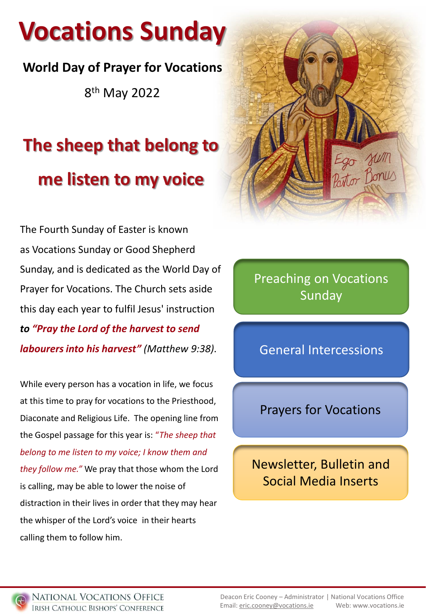# **Vocations Sunday**

## **World Day of Prayer for Vocations**

8<sup>th</sup> May 2022

# **The sheep that belong to me listen to my voice**

The Fourth Sunday of Easter is known as Vocations Sunday or Good Shepherd Sunday, and is dedicated as the World Day of Prayer for Vocations. The Church sets aside this day each year to fulfil Jesus' instruction *to "Pray the Lord of the harvest to send labourers into his harvest" (Matthew 9:38)*.

While every person has a vocation in life, we focus at this time to pray for vocations to the Priesthood, Diaconate and Religious Life. The opening line from the Gospel passage for this year is: "*The sheep that belong to me listen to my voice; I know them and they follow me."* We pray that those whom the Lord is calling, may be able to lower the noise of distraction in their lives in order that they may hear the whisper of the Lord's voice in their hearts calling them to follow him.



Preaching on Vocations Sunday

General Intercessions

### Prayers for Vocations

Newsletter, Bulletin and Social Media Inserts

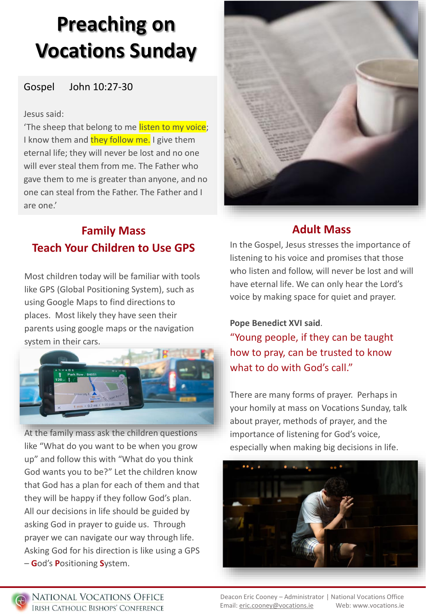# **Preaching on Vocations Sunday**

#### Gospel John 10:27-30

#### Jesus said:

'The sheep that belong to me listen to my voice; I know them and they follow me. I give them eternal life; they will never be lost and no one will ever steal them from me. The Father who gave them to me is greater than anyone, and no one can steal from the Father. The Father and I are one.'



### **Family Mass Teach Your Children to Use GPS**

Most children today will be familiar with tools like GPS (Global Positioning System), such as using Google Maps to find directions to places. Most likely they have seen their parents using google maps or the navigation system in their cars.



At the family mass ask the children questions like "What do you want to be when you grow up" and follow this with "What do you think God wants you to be?" Let the children know that God has a plan for each of them and that they will be happy if they follow God's plan. All our decisions in life should be guided by asking God in prayer to guide us. Through prayer we can navigate our way through life. Asking God for his direction is like using a GPS – **G**od's **P**ositioning **S**ystem.

#### **Adult Mass**

In the Gospel, Jesus stresses the importance of listening to his voice and promises that those who listen and follow, will never be lost and will have eternal life. We can only hear the Lord's voice by making space for quiet and prayer.

**Pope Benedict XVI said**. "Young people, if they can be taught how to pray, can be trusted to know what to do with God's call."

There are many forms of prayer. Perhaps in your homily at mass on Vocations Sunday, talk about prayer, methods of prayer, and the importance of listening for God's voice, especially when making big decisions in life.



Deacon Eric Cooney – Administrator | National Vocations Office Email: [eric.cooney@vocations.ie](mailto:eric.cooney@vocations.ie) Web: www.vocations.ie

NATIONAL VOCATIONS OFFICE **IRISH CATHOLIC BISHOPS' CONFERENCE** 

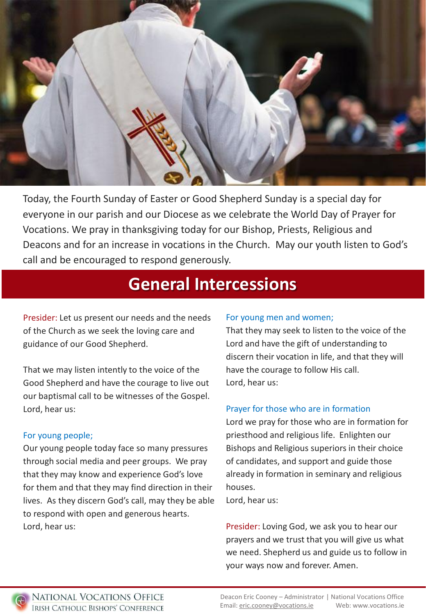

Today, the Fourth Sunday of Easter or Good Shepherd Sunday is a special day for everyone in our parish and our Diocese as we celebrate the World Day of Prayer for Vocations. We pray in thanksgiving today for our Bishop, Priests, Religious and Deacons and for an increase in vocations in the Church. May our youth listen to God's call and be encouraged to respond generously.

## **General Intercessions**

Presider: Let us present our needs and the needs of the Church as we seek the loving care and guidance of our Good Shepherd.

That we may listen intently to the voice of the Good Shepherd and have the courage to live out our baptismal call to be witnesses of the Gospel. Lord, hear us:

#### For young people;

Our young people today face so many pressures through social media and peer groups. We pray that they may know and experience God's love for them and that they may find direction in their lives. As they discern God's call, may they be able to respond with open and generous hearts. Lord, hear us:

#### For young men and women;

That they may seek to listen to the voice of the Lord and have the gift of understanding to discern their vocation in life, and that they will have the courage to follow His call. Lord, hear us:

#### Prayer for those who are in formation

Lord we pray for those who are in formation for priesthood and religious life. Enlighten our Bishops and Religious superiors in their choice of candidates, and support and guide those already in formation in seminary and religious houses.

Lord, hear us:

Presider: Loving God, we ask you to hear our prayers and we trust that you will give us what we need. Shepherd us and guide us to follow in your ways now and forever. Amen.

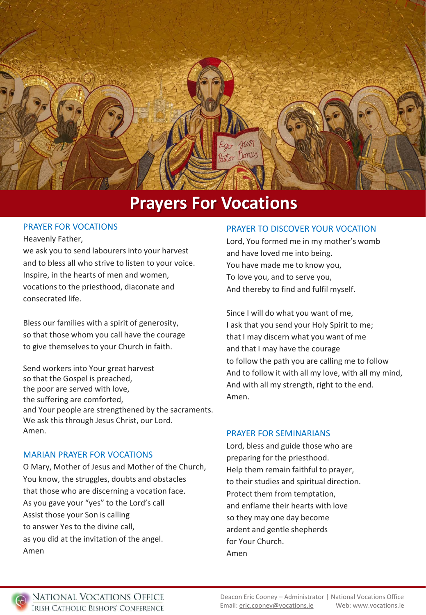

### **Prayers For Vocations**

#### PRAYER FOR VOCATIONS

#### Heavenly Father,

we ask you to send labourers into your harvest and to bless all who strive to listen to your voice. Inspire, in the hearts of men and women, vocations to the priesthood, diaconate and consecrated life.

Bless our families with a spirit of generosity, so that those whom you call have the courage to give themselves to your Church in faith.

Send workers into Your great harvest so that the Gospel is preached, the poor are served with love, the suffering are comforted, and Your people are strengthened by the sacraments. We ask this through Jesus Christ, our Lord. Amen.

#### MARIAN PRAYER FOR VOCATIONS

O Mary, Mother of Jesus and Mother of the Church, You know, the struggles, doubts and obstacles that those who are discerning a vocation face. As you gave your "yes" to the Lord's call Assist those your Son is calling to answer Yes to the divine call, as you did at the invitation of the angel. Amen

#### PRAYER TO DISCOVER YOUR VOCATION

Lord, You formed me in my mother's womb and have loved me into being. You have made me to know you, To love you, and to serve you, And thereby to find and fulfil myself.

Since I will do what you want of me, I ask that you send your Holy Spirit to me; that I may discern what you want of me and that I may have the courage to follow the path you are calling me to follow And to follow it with all my love, with all my mind, And with all my strength, right to the end. Amen.

#### PRAYER FOR SEMINARIANS

Lord, bless and guide those who are preparing for the priesthood. Help them remain faithful to prayer, to their studies and spiritual direction. Protect them from temptation, and enflame their hearts with love so they may one day become ardent and gentle shepherds for Your Church. Amen